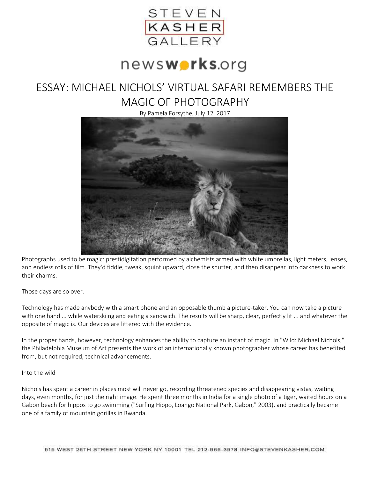

# news**works**.org

## ESSAY: MICHAEL NICHOLS' VIRTUAL SAFARI REMEMBERS THE MAGIC OF PHOTOGRAPHY

By Pamela Forsythe, July 12, 2017



Photographs used to be magic: prestidigitation performed by alchemists armed with white umbrellas, light meters, lenses, and endless rolls of film. They'd fiddle, tweak, squint upward, close the shutter, and then disappear into darkness to work their charms.

Those days are so over.

Technology has made anybody with a smart phone and an opposable thumb a picture-taker. You can now take a picture with one hand ... while waterskiing and eating a sandwich. The results will be sharp, clear, perfectly lit ... and whatever the opposite of magic is. Our devices are littered with the evidence.

In the proper hands, however, technology enhances the ability to capture an instant of magic. In "Wild: Michael Nichols," the Philadelphia Museum of Art presents the work of an internationally known photographer whose career has benefited from, but not required, technical advancements.

### Into the wild

Nichols has spent a career in places most will never go, recording threatened species and disappearing vistas, waiting days, even months, for just the right image. He spent three months in India for a single photo of a tiger, waited hours on a Gabon beach for hippos to go swimming ("Surfing Hippo, Loango National Park, Gabon," 2003), and practically became one of a family of mountain gorillas in Rwanda.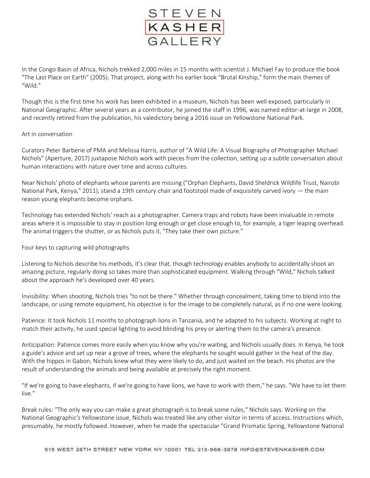

In the Congo Basin of Africa, Nichols trekked 2,000 miles in 15 months with scientist J. Michael Fay to produce the book "The Last Place on Earth" (2005). That project, along with his earlier book "Brutal Kinship," form the main themes of "Wild."

Though this is the first time his work has been exhibited in a museum, Nichols has been well exposed, particularly in National Geographic. After several years as a contributor, he joined the staff in 1996, was named editor-at-large in 2008, and recently retired from the publication, his valedictory being a 2016 issue on Yellowstone National Park.

#### Art in conversation

Curators Peter Barberie of PMA and Melissa Harris, author of "A Wild Life: A Visual Biography of Photographer Michael Nichols" (Aperture, 2017) juxtapose Nichols work with pieces from the collection, setting up a subtle conversation about human interactions with nature over time and across cultures.

Near Nichols' photo of elephants whose parents are missing ("Orphan Elephants, David Sheldrick Wildlife Trust, Nairobi National Park, Kenya," 2011), stand a 19th century chair and footstool made of exquisitely carved ivory — the main reason young elephants become orphans.

Technology has extended Nichols' reach as a photographer. Camera traps and robots have been invaluable in remote areas where it is impossible to stay in position long enough or get close enough to, for example, a tiger leaping overhead. The animal triggers the shutter, or as Nichols puts it, "They take their own picture."

### Four keys to capturing wild photographs

Listening to Nichols describe his methods, it's clear that, though technology enables anybody to accidentally shoot an amazing picture, regularly doing so takes more than sophisticated equipment. Walking through "Wild," Nichols talked about the approach he's developed over 40 years.

Invisibility: When shooting, Nichols tries "to not be there." Whether through concealment, taking time to blend into the landscape, or using remote equipment, his objective is for the image to be completely natural, as if no one were looking.

Patience: It took Nichols 11 months to photograph lions in Tanzania, and he adapted to his subjects. Working at night to match their activity, he used special lighting to avoid blinding his prey or alerting them to the camera's presence.

Anticipation: Patience comes more easily when you know why you're waiting, and Nichols usually does. In Kenya, he took a guide's advice and set up near a grove of trees, where the elephants he sought would gather in the heat of the day. With the hippos in Gabon, Nichols knew what they were likely to do, and just waited on the beach. His photos are the result of understanding the animals and being available at precisely the right moment.

"If we're going to have elephants, if we're going to have lions, we have to work with them," he says. "We have to let them live."

Break rules: "The only way you can make a great photograph is to break some rules," Nichols says. Working on the National Geographic's Yellowstone issue, Nichols was treated like any other visitor in terms of access. Instructions which, presumably, he mostly followed. However, when he made the spectacular "Grand Prismatic Spring, Yellowstone National